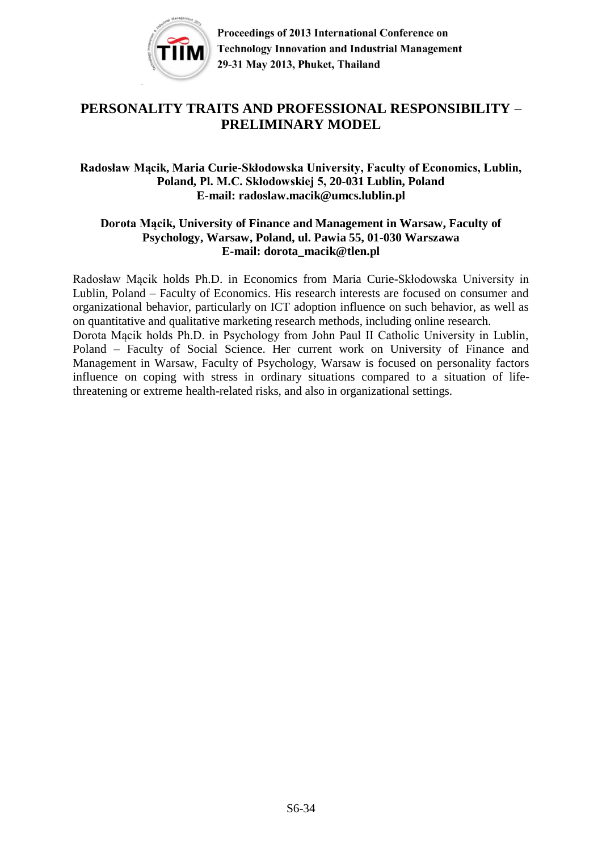

# **PERSONALITY TRAITS AND PROFESSIONAL RESPONSIBILITY – PRELIMINARY MODEL**

### **Radosław Mącik, Maria Curie-Skłodowska University, Faculty of Economics, Lublin, Poland, Pl. M.C. Skłodowskiej 5, 20-031 Lublin, Poland E-mail: radoslaw.macik@umcs.lublin.pl**

#### **Dorota Mącik, University of Finance and Management in Warsaw, Faculty of Psychology, Warsaw, Poland, ul. Pawia 55, 01-030 Warszawa E-mail: dorota\_macik@tlen.pl**

Radosław Mącik holds Ph.D. in Economics from Maria Curie-Skłodowska University in Lublin, Poland – Faculty of Economics. His research interests are focused on consumer and organizational behavior, particularly on ICT adoption influence on such behavior, as well as on quantitative and qualitative marketing research methods, including online research. Dorota Mącik holds Ph.D. in Psychology from John Paul II Catholic University in Lublin, Poland – Faculty of Social Science. Her current work on University of Finance and Management in Warsaw, Faculty of Psychology, Warsaw is focused on personality factors influence on coping with stress in ordinary situations compared to a situation of lifethreatening or extreme health-related risks, and also in organizational settings.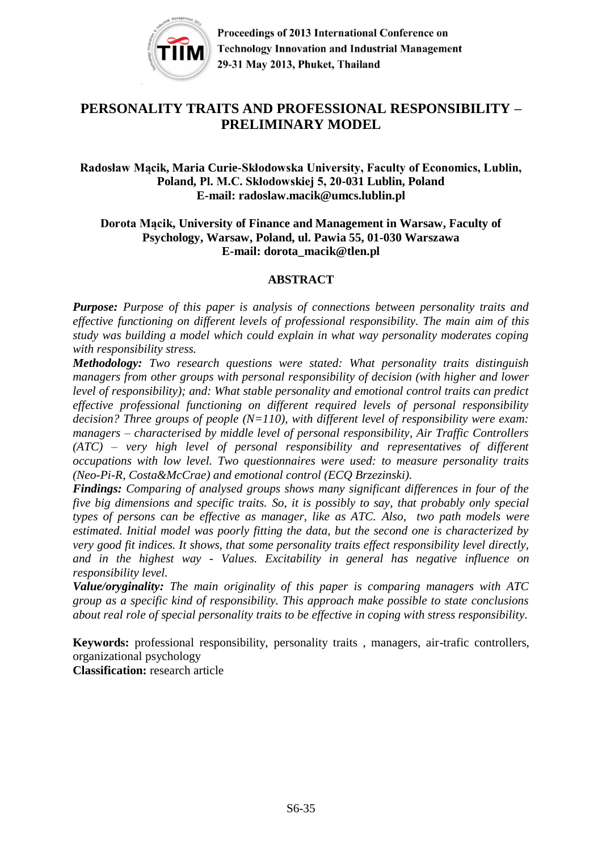

# **PERSONALITY TRAITS AND PROFESSIONAL RESPONSIBILITY – PRELIMINARY MODEL**

**Radosław Mącik, Maria Curie-Skłodowska University, Faculty of Economics, Lublin, Poland, Pl. M.C. Skłodowskiej 5, 20-031 Lublin, Poland E-mail: radoslaw.macik@umcs.lublin.pl**

#### **Dorota Mącik, University of Finance and Management in Warsaw, Faculty of Psychology, Warsaw, Poland, ul. Pawia 55, 01-030 Warszawa E-mail: dorota\_macik@tlen.pl**

#### **ABSTRACT**

*Purpose: Purpose of this paper is analysis of connections between personality traits and effective functioning on different levels of professional responsibility. The main aim of this study was building a model which could explain in what way personality moderates coping with responsibility stress.*

*Methodology: Two research questions were stated: What personality traits distinguish managers from other groups with personal responsibility of decision (with higher and lower level of responsibility); and: What stable personality and emotional control traits can predict effective professional functioning on different required levels of personal responsibility decision? Three groups of people (N=110), with different level of responsibility were exam: managers – characterised by middle level of personal responsibility, Air Traffic Controllers (ATC) – very high level of personal responsibility and representatives of different occupations with low level. Two questionnaires were used: to measure personality traits (Neo-Pi-R, Costa&McCrae) and emotional control (ECQ Brzezinski).* 

*Findings: Comparing of analysed groups shows many significant differences in four of the five big dimensions and specific traits. So, it is possibly to say, that probably only special types of persons can be effective as manager, like as ATC. Also, two path models were estimated. Initial model was poorly fitting the data, but the second one is characterized by very good fit indices. It shows, that some personality traits effect responsibility level directly, and in the highest way - Values. Excitability in general has negative influence on responsibility level.* 

*Value/oryginality: The main originality of this paper is comparing managers with ATC group as a specific kind of responsibility. This approach make possible to state conclusions about real role of special personality traits to be effective in coping with stress responsibility.*

**Keywords:** professional responsibility, personality traits , managers, air-trafic controllers, organizational psychology

**Classification:** research article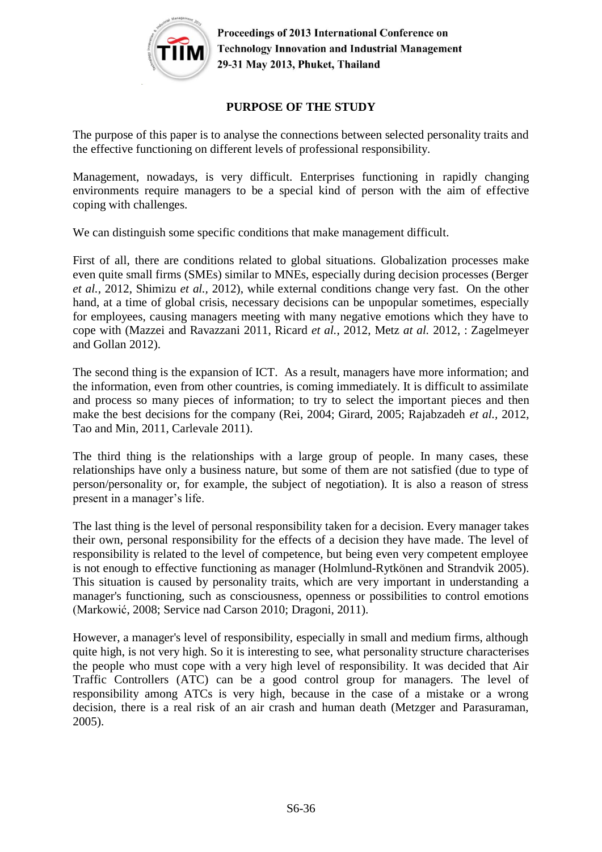

## **PURPOSE OF THE STUDY**

The purpose of this paper is to analyse the connections between selected personality traits and the effective functioning on different levels of professional responsibility.

Management, nowadays, is very difficult. Enterprises functioning in rapidly changing environments require managers to be a special kind of person with the aim of effective coping with challenges.

We can distinguish some specific conditions that make management difficult.

First of all, there are conditions related to global situations. Globalization processes make even quite small firms (SMEs) similar to MNEs, especially during decision processes (Berger *et al.,* 2012, Shimizu *et al.,* 2012), while external conditions change very fast. On the other hand, at a time of global crisis, necessary decisions can be unpopular sometimes, especially for employees, causing managers meeting with many negative emotions which they have to cope with (Mazzei and Ravazzani 2011, Ricard *et al.*, 2012, Metz *at al.* 2012, : Zagelmeyer and Gollan 2012).

The second thing is the expansion of ICT. As a result, managers have more information; and the information, even from other countries, is coming immediately. It is difficult to assimilate and process so many pieces of information; to try to select the important pieces and then make the best decisions for the company (Rei, 2004; Girard, 2005; Rajabzadeh *et al.,* 2012, Tao and Min, 2011, Carlevale 2011).

The third thing is the relationships with a large group of people. In many cases, these relationships have only a business nature, but some of them are not satisfied (due to type of person/personality or, for example, the subject of negotiation). It is also a reason of stress present in a manager's life.

The last thing is the level of personal responsibility taken for a decision. Every manager takes their own, personal responsibility for the effects of a decision they have made. The level of responsibility is related to the level of competence, but being even very competent employee is not enough to effective functioning as manager (Holmlund-Rytkönen and Strandvik 2005). This situation is caused by personality traits, which are very important in understanding a manager's functioning, such as consciousness, openness or possibilities to control emotions (Markowić, 2008; Service nad Carson 2010; Dragoni, 2011).

However, a manager's level of responsibility, especially in small and medium firms, although quite high, is not very high. So it is interesting to see, what personality structure characterises the people who must cope with a very high level of responsibility. It was decided that Air Traffic Controllers (ATC) can be a good control group for managers. The level of responsibility among ATCs is very high, because in the case of a mistake or a wrong decision, there is a real risk of an air crash and human death (Metzger and Parasuraman, 2005).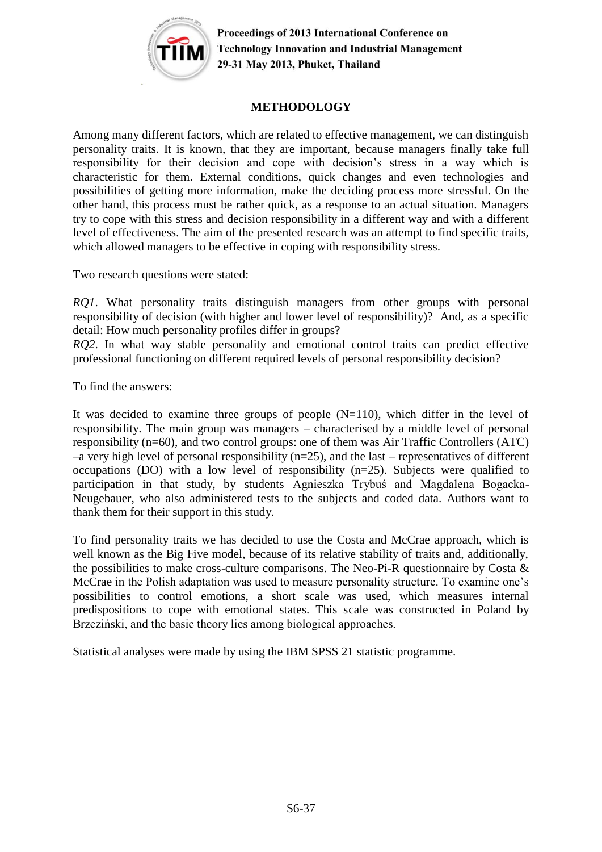

#### **METHODOLOGY**

Among many different factors, which are related to effective management, we can distinguish personality traits. It is known, that they are important, because managers finally take full responsibility for their decision and cope with decision's stress in a way which is characteristic for them. External conditions, quick changes and even technologies and possibilities of getting more information, make the deciding process more stressful. On the other hand, this process must be rather quick, as a response to an actual situation. Managers try to cope with this stress and decision responsibility in a different way and with a different level of effectiveness. The aim of the presented research was an attempt to find specific traits, which allowed managers to be effective in coping with responsibility stress.

Two research questions were stated:

*RQ1*. What personality traits distinguish managers from other groups with personal responsibility of decision (with higher and lower level of responsibility)? And, as a specific detail: How much personality profiles differ in groups?

*RQ2*. In what way stable personality and emotional control traits can predict effective professional functioning on different required levels of personal responsibility decision?

To find the answers:

It was decided to examine three groups of people  $(N=110)$ , which differ in the level of responsibility. The main group was managers – characterised by a middle level of personal responsibility (n=60), and two control groups: one of them was Air Traffic Controllers (ATC)  $-a$  very high level of personal responsibility ( $n=25$ ), and the last – representatives of different occupations (DO) with a low level of responsibility (n=25). Subjects were qualified to participation in that study, by students Agnieszka Trybuś and Magdalena Bogacka-Neugebauer, who also administered tests to the subjects and coded data. Authors want to thank them for their support in this study.

To find personality traits we has decided to use the Costa and McCrae approach, which is well known as the Big Five model, because of its relative stability of traits and, additionally, the possibilities to make cross-culture comparisons. The Neo-Pi-R questionnaire by Costa & McCrae in the Polish adaptation was used to measure personality structure. To examine one's possibilities to control emotions, a short scale was used, which measures internal predispositions to cope with emotional states. This scale was constructed in Poland by Brzeziński, and the basic theory lies among biological approaches.

Statistical analyses were made by using the IBM SPSS 21 statistic programme.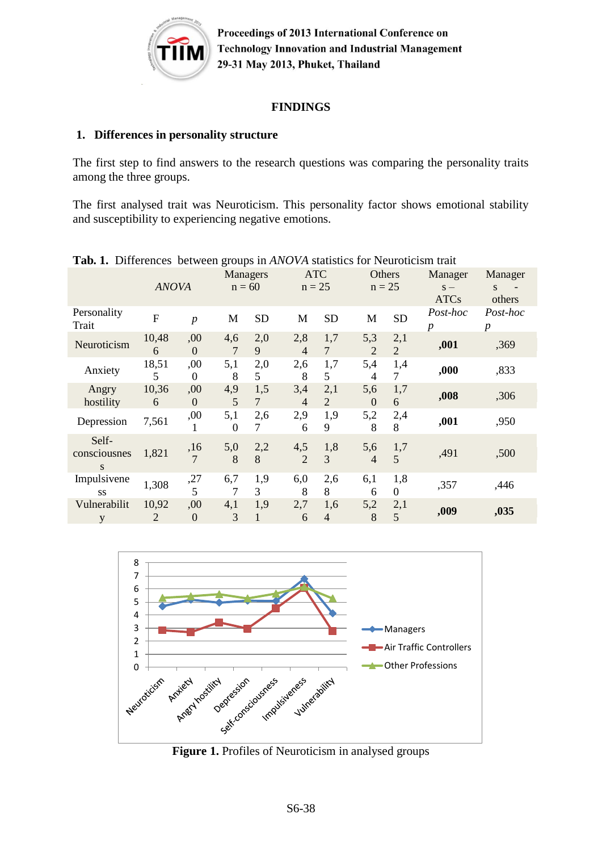

#### **FINDINGS**

#### **1. Differences in personality structure**

The first step to find answers to the research questions was comparing the personality traits among the three groups.

The first analysed trait was Neuroticism. This personality factor shows emotional stability and susceptibility to experiencing negative emotions.

|                            | <b>ANOVA</b>   |                         | <b>Managers</b><br>$n = 60$ |               | <b>ATC</b><br>$n = 25$ |                       | Others<br>$n = 25$    |                       | Manager<br>$S -$<br><b>ATCs</b> | Manager<br>S.<br>others      |
|----------------------------|----------------|-------------------------|-----------------------------|---------------|------------------------|-----------------------|-----------------------|-----------------------|---------------------------------|------------------------------|
| Personality<br>Trait       | $\overline{F}$ | $\boldsymbol{p}$        | M                           | <b>SD</b>     | M                      | <b>SD</b>             | M                     | <b>SD</b>             | Post-hoc<br>$\boldsymbol{p}$    | Post-hoc<br>$\boldsymbol{p}$ |
| Neuroticism                | 10,48<br>6     | ,00<br>$\overline{0}$   | 4,6<br>7                    | 2,0<br>9      | 2,8<br>$\overline{4}$  | 1,7<br>7              | 5,3<br>2              | 2,1<br>$\overline{2}$ | ,001                            | ,369                         |
| Anxiety                    | 18,51<br>5     | ,00<br>$\boldsymbol{0}$ | 5,1<br>8                    | 2,0<br>5      | 2,6<br>8               | 1,7<br>5              | 5,4<br>4              | 1,4<br>$\tau$         | ,000                            | ,833                         |
| Angry<br>hostility         | 10,36<br>6     | ,00<br>$\theta$         | 4,9<br>5                    | 1,5<br>$\tau$ | 3,4<br>$\overline{4}$  | 2,1<br>2              | 5,6<br>$\mathbf{0}$   | 1,7<br>6              | ,008                            | ,306                         |
| Depression                 | 7,561          | ,00<br>1                | 5,1<br>$\theta$             | 2,6<br>7      | 2,9<br>6               | 1,9<br>9              | 5,2<br>8              | 2,4<br>8              | ,001                            | ,950                         |
| Self-<br>consciousnes<br>S | 1,821          | ,16<br>$\overline{7}$   | 5,0<br>8                    | 2,2<br>8      | 4,5<br>$\overline{2}$  | 1,8<br>$\overline{3}$ | 5,6<br>$\overline{4}$ | 1,7<br>5              | ,491                            | ,500                         |
| Impulsivene<br><b>SS</b>   | 1,308          | ,27<br>5                | 6,7<br>7                    | 1,9<br>3      | 6,0<br>8               | 2,6<br>8              | 6,1<br>6              | 1,8<br>$\mathbf{0}$   | ,357                            | ,446                         |
| Vulnerabilit<br>y          | 10,92<br>2     | ,00<br>$\boldsymbol{0}$ | 4,1<br>3                    | 1,9           | 2,7<br>6               | 1,6<br>$\overline{4}$ | 5,2<br>8              | 2,1<br>5              | ,009                            | ,035                         |

**Tab. 1.** Differences between groups in *ANOVA* statistics for Neuroticism trait



Figure 1. Profiles of Neuroticism in analysed groups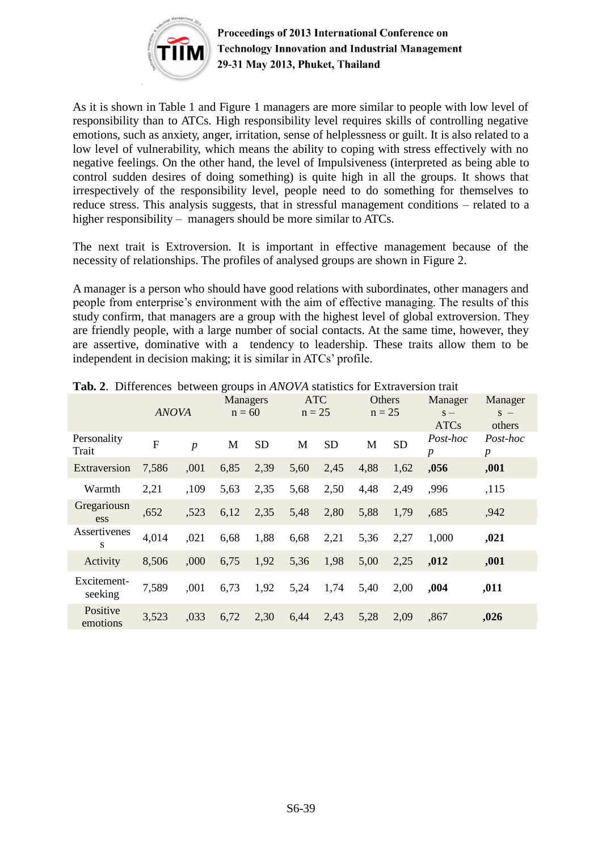

As it is shown in Table 1 and Figure 1 managers are more similar to people with low level of responsibility than to ATCs. High responsibility level requires skills of controlling negative emotions, such as anxiety, anger, irritation, sense of helplessness or guilt. It is also related to a low level of vulnerability, which means the ability to coping with stress effectively with no negative feelings. On the other hand, the level of Impulsiveness (interpreted as being able to control sudden desires of doing something) is quite high in all the groups. It shows that irrespectively of the responsibility level, people need to do something for themselves to reduce stress. This analysis suggests, that in stressful management conditions – related to a higher responsibility – managers should be more similar to ATCs.

The next trait is Extroversion. It is important in effective management because of the necessity of relationships. The profiles of analysed groups are shown in Figure 2.

A manager is a person who should have good relations with subordinates, other managers and people from enterprise's environment with the aim of effective managing. The results of this study confirm, that managers are a group with the highest level of global extroversion. They are friendly people, with a large number of social contacts. At the same time, however, they are assertive, dominative with a tendency to leadership. These traits allow them to be independent in decision making; it is similar in ATCs' profile.

|                        | <b>ANOVA</b>   |                | <b>Managers</b><br>$n = 60$ |           | <b>ATC</b><br>$n = 25$ |           | Others<br>$n = 25$ |           | Manager<br>$S -$<br><b>ATCs</b> | Manager<br>$S -$<br>others   |
|------------------------|----------------|----------------|-----------------------------|-----------|------------------------|-----------|--------------------|-----------|---------------------------------|------------------------------|
| Personality<br>Trait   | $\overline{F}$ | $\overline{p}$ | M                           | <b>SD</b> | M                      | <b>SD</b> | M                  | <b>SD</b> | Post-hoc<br>$\boldsymbol{p}$    | Post-hoc<br>$\boldsymbol{p}$ |
| Extraversion           | 7,586          | ,001           | 6,85                        | 2,39      | 5,60                   | 2,45      | 4,88               | 1,62      | ,056                            | ,001                         |
| Warmth                 | 2,21           | ,109           | 5,63                        | 2,35      | 5,68                   | 2,50      | 4,48               | 2,49      | ,996                            | ,115                         |
| Gregariousn<br>ess     | ,652           | ,523           | 6,12                        | 2,35      | 5,48                   | 2,80      | 5,88               | 1,79      | ,685                            | ,942                         |
| Assertivenes<br>S      | 4,014          | ,021           | 6,68                        | 1,88      | 6,68                   | 2,21      | 5,36               | 2,27      | 1,000                           | ,021                         |
| Activity               | 8,506          | ,000           | 6,75                        | 1,92      | 5,36                   | 1,98      | 5,00               | 2,25      | ,012                            | ,001                         |
| Excitement-<br>seeking | 7,589          | .001           | 6,73                        | 1,92      | 5,24                   | 1,74      | 5,40               | 2,00      | ,004                            | ,011                         |
| Positive<br>emotions   | 3,523          | ,033           | 6,72                        | 2,30      | 6,44                   | 2,43      | 5,28               | 2,09      | ,867                            | ,026                         |

**Tab. 2**. Differences between groups in *ANOVA* statistics for Extraversion trait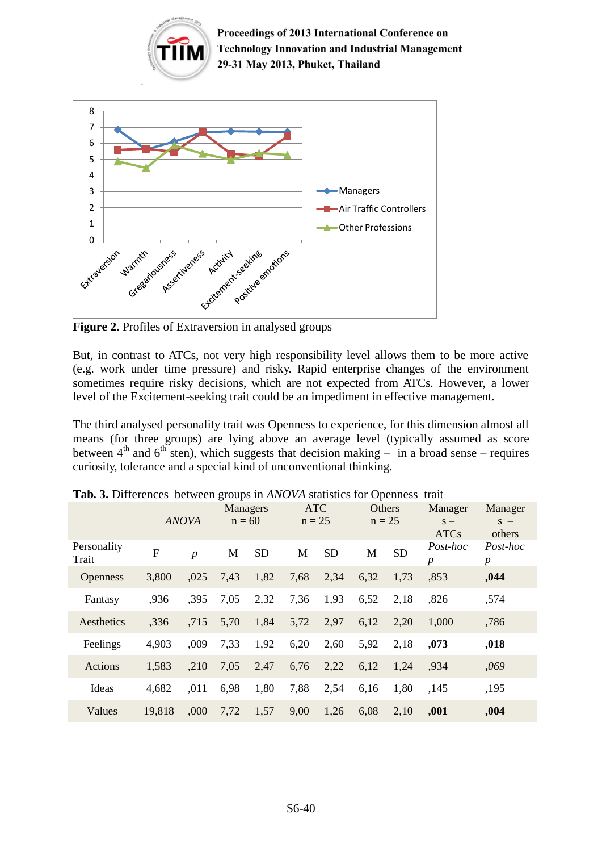

**Figure 2.** Profiles of Extraversion in analysed groups

But, in contrast to ATCs, not very high responsibility level allows them to be more active (e.g. work under time pressure) and risky. Rapid enterprise changes of the environment sometimes require risky decisions, which are not expected from ATCs. However, a lower level of the Excitement-seeking trait could be an impediment in effective management.

The third analysed personality trait was Openness to experience, for this dimension almost all means (for three groups) are lying above an average level (typically assumed as score between  $4<sup>th</sup>$  and  $6<sup>th</sup>$  sten), which suggests that decision making – in a broad sense – requires curiosity, tolerance and a special kind of unconventional thinking.

|                      |        | <b>ANOVA</b>     | <b>Managers</b><br>$n = 60$ |           | <b>ATC</b><br>$n = 25$ |           | Others<br>$n = 25$ |           | Manager<br>$S -$<br><b>ATCs</b> | Manager<br>$S -$<br>others   |
|----------------------|--------|------------------|-----------------------------|-----------|------------------------|-----------|--------------------|-----------|---------------------------------|------------------------------|
| Personality<br>Trait | F      | $\boldsymbol{p}$ | M                           | <b>SD</b> | M                      | <b>SD</b> | M                  | <b>SD</b> | Post-hoc<br>$\boldsymbol{p}$    | Post-hoc<br>$\boldsymbol{p}$ |
| <b>Openness</b>      | 3,800  | ,025             | 7,43                        | 1,82      | 7,68                   | 2,34      | 6,32               | 1,73      | ,853                            | ,044                         |
| Fantasy              | .936   | ,395             | 7,05                        | 2,32      | 7,36                   | 1,93      | 6,52               | 2,18      | ,826                            | ,574                         |
| Aesthetics           | ,336   | ,715             | 5,70                        | 1,84      | 5,72                   | 2,97      | 6,12               | 2,20      | 1,000                           | ,786                         |
| Feelings             | 4,903  | ,009             | 7,33                        | 1,92      | 6,20                   | 2,60      | 5,92               | 2,18      | ,073                            | ,018                         |
| <b>Actions</b>       | 1,583  | ,210             | 7,05                        | 2,47      | 6,76                   | 2,22      | 6,12               | 1,24      | ,934                            | ,069                         |
| Ideas                | 4,682  | ,011             | 6,98                        | 1,80      | 7,88                   | 2,54      | 6,16               | 1,80      | ,145                            | ,195                         |
| Values               | 19,818 | .000             | 7,72                        | 1,57      | 9,00                   | 1,26      | 6,08               | 2,10      | ,001                            | ,004                         |

**Tab. 3.** Differences between groups in *ANOVA* statistics for Openness trait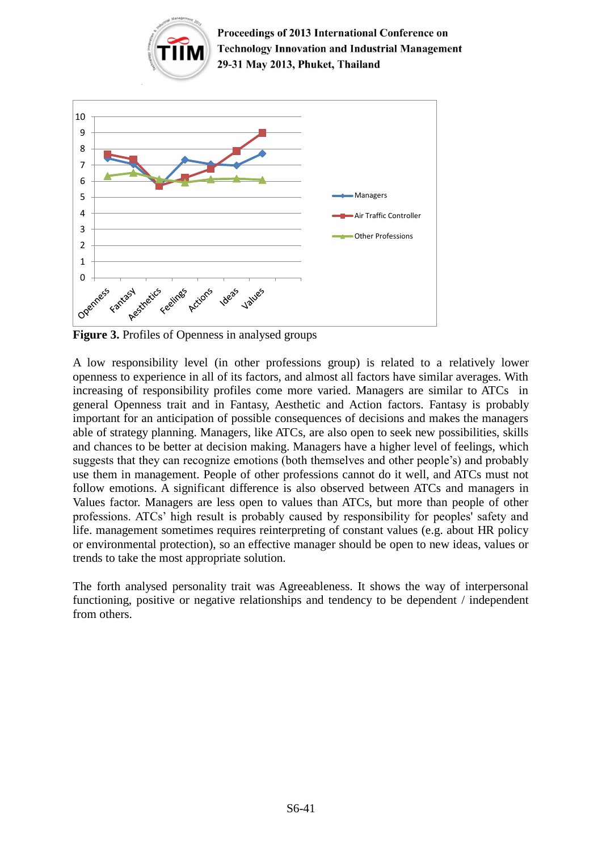



**Figure 3.** Profiles of Openness in analysed groups

A low responsibility level (in other professions group) is related to a relatively lower openness to experience in all of its factors, and almost all factors have similar averages. With increasing of responsibility profiles come more varied. Managers are similar to ATCs in general Openness trait and in Fantasy, Aesthetic and Action factors. Fantasy is probably important for an anticipation of possible consequences of decisions and makes the managers able of strategy planning. Managers, like ATCs, are also open to seek new possibilities, skills and chances to be better at decision making. Managers have a higher level of feelings, which suggests that they can recognize emotions (both themselves and other people's) and probably use them in management. People of other professions cannot do it well, and ATCs must not follow emotions. A significant difference is also observed between ATCs and managers in Values factor. Managers are less open to values than ATCs, but more than people of other professions. ATCs' high result is probably caused by responsibility for peoples' safety and life. management sometimes requires reinterpreting of constant values (e.g. about HR policy or environmental protection), so an effective manager should be open to new ideas, values or trends to take the most appropriate solution.

The forth analysed personality trait was Agreeableness. It shows the way of interpersonal functioning, positive or negative relationships and tendency to be dependent / independent from others.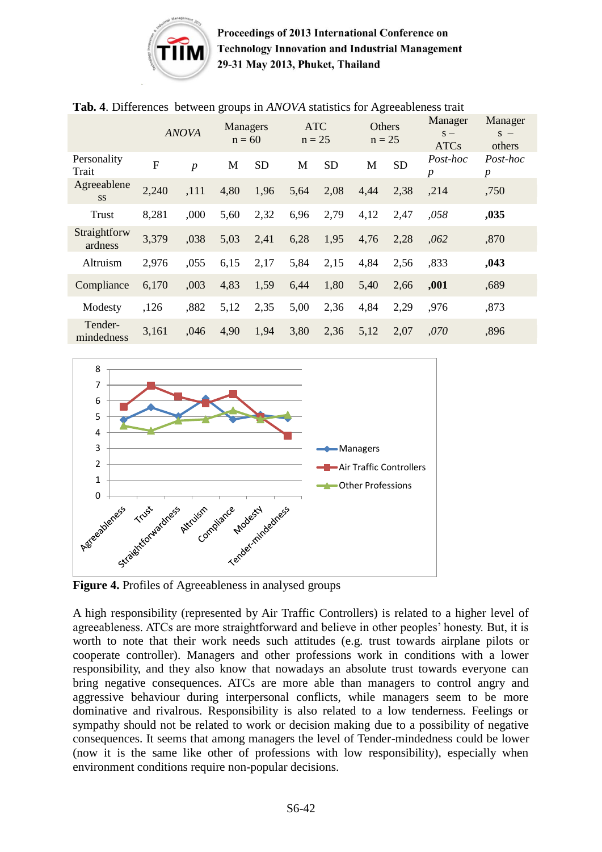

|                          |             | <b>ANOVA</b>     | <b>Managers</b><br>$n = 60$ |           | <b>ATC</b><br>$n = 25$ |           | Others<br>$n = 25$ |           | Manager<br>$S -$<br><b>ATCs</b> | Manager<br>$S -$<br>others   |
|--------------------------|-------------|------------------|-----------------------------|-----------|------------------------|-----------|--------------------|-----------|---------------------------------|------------------------------|
| Personality<br>Trait     | $\mathbf F$ | $\boldsymbol{p}$ | M                           | <b>SD</b> | M                      | <b>SD</b> | M                  | <b>SD</b> | Post-hoc<br>$\boldsymbol{p}$    | Post-hoc<br>$\boldsymbol{p}$ |
| Agreeablene<br><b>SS</b> | 2,240       | ,111             | 4,80                        | 1,96      | 5,64                   | 2,08      | 4,44               | 2,38      | ,214                            | ,750                         |
| <b>Trust</b>             | 8,281       | ,000             | 5,60                        | 2,32      | 6,96                   | 2,79      | 4,12               | 2,47      | ,058                            | ,035                         |
| Straightforw<br>ardness  | 3,379       | ,038             | 5,03                        | 2,41      | 6,28                   | 1,95      | 4,76               | 2,28      | ,062                            | ,870                         |
| Altruism                 | 2,976       | ,055             | 6,15                        | 2,17      | 5,84                   | 2,15      | 4,84               | 2,56      | .833                            | ,043                         |
| Compliance               | 6,170       | ,003             | 4,83                        | 1,59      | 6,44                   | 1,80      | 5,40               | 2,66      | ,001                            | ,689                         |
| Modesty                  | ,126        | ,882             | 5,12                        | 2,35      | 5,00                   | 2,36      | 4,84               | 2,29      | ,976                            | ,873                         |
| Tender-<br>mindedness    | 3,161       | ,046             | 4,90                        | 1,94      | 3,80                   | 2,36      | 5,12               | 2,07      | ,070                            | ,896                         |

#### **Tab. 4**. Differences between groups in *ANOVA* statistics for Agreeableness trait



**Figure 4.** Profiles of Agreeableness in analysed groups

A high responsibility (represented by Air Traffic Controllers) is related to a higher level of agreeableness. ATCs are more straightforward and believe in other peoples' honesty. But, it is worth to note that their work needs such attitudes (e.g. trust towards airplane pilots or cooperate controller). Managers and other professions work in conditions with a lower responsibility, and they also know that nowadays an absolute trust towards everyone can bring negative consequences. ATCs are more able than managers to control angry and aggressive behaviour during interpersonal conflicts, while managers seem to be more dominative and rivalrous. Responsibility is also related to a low tenderness. Feelings or sympathy should not be related to work or decision making due to a possibility of negative consequences. It seems that among managers the level of Tender-mindedness could be lower (now it is the same like other of professions with low responsibility), especially when environment conditions require non-popular decisions.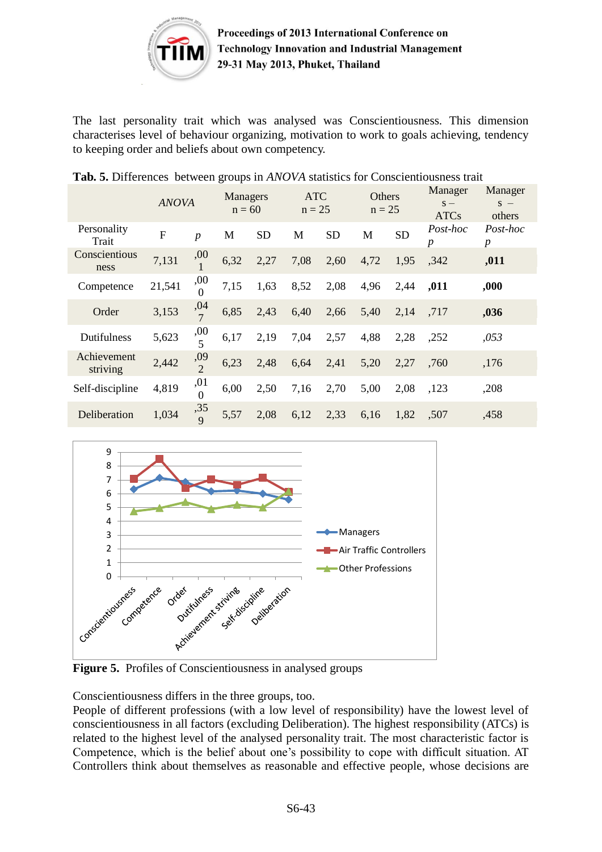

The last personality trait which was analysed was Conscientiousness. This dimension characterises level of behaviour organizing, motivation to work to goals achieving, tendency to keeping order and beliefs about own competency.

|  |  |  |  |  |  |  | Tab. 5. Differences between groups in ANOVA statistics for Conscientiousness trait |  |
|--|--|--|--|--|--|--|------------------------------------------------------------------------------------|--|
|--|--|--|--|--|--|--|------------------------------------------------------------------------------------|--|

|                         | <b>ANOVA</b>   |                       | Managers<br>$n = 60$ |           | <b>ATC</b><br>$n = 25$ |           | <b>Others</b><br>$n = 25$ |           | Manager<br>$S -$<br><b>ATCs</b> | Manager<br>$S -$<br>others   |
|-------------------------|----------------|-----------------------|----------------------|-----------|------------------------|-----------|---------------------------|-----------|---------------------------------|------------------------------|
| Personality<br>Trait    | $\overline{F}$ | $\boldsymbol{p}$      | M                    | <b>SD</b> | M                      | <b>SD</b> | M                         | <b>SD</b> | Post-hoc<br>$\boldsymbol{p}$    | Post-hoc<br>$\boldsymbol{p}$ |
| Conscientious<br>ness   | 7,131          | ,00                   | 6,32                 | 2,27      | 7,08                   | 2,60      | 4,72                      | 1,95      | ,342                            | ,011                         |
| Competence              | 21,541         | ,00<br>$\theta$       | 7,15                 | 1,63      | 8,52                   | 2,08      | 4,96                      | 2,44      | ,011                            | ,000                         |
| Order                   | 3,153          | $\frac{,04}{7}$       | 6,85                 | 2,43      | 6,40                   | 2,66      | 5,40                      | 2,14      | ,717                            | ,036                         |
| Dutifulness             | 5,623          | ,00<br>$\overline{5}$ | 6,17                 | 2,19      | 7,04                   | 2,57      | 4,88                      | 2,28      | ,252                            | ,053                         |
| Achievement<br>striving | 2,442          | ,09<br>$\overline{2}$ | 6,23                 | 2,48      | 6,64                   | 2,41      | 5,20                      | 2,27      | ,760                            | ,176                         |
| Self-discipline         | 4,819          | ,01<br>$\overline{0}$ | 6,00                 | 2,50      | 7,16                   | 2,70      | 5,00                      | 2,08      | ,123                            | ,208                         |
| Deliberation            | 1,034          | $\frac{,35}{9}$       | 5,57                 | 2,08      | 6,12                   | 2,33      | 6,16                      | 1,82      | ,507                            | ,458                         |



**Figure 5.** Profiles of Conscientiousness in analysed groups

Conscientiousness differs in the three groups, too.

People of different professions (with a low level of responsibility) have the lowest level of conscientiousness in all factors (excluding Deliberation). The highest responsibility (ATCs) is related to the highest level of the analysed personality trait. The most characteristic factor is Competence, which is the belief about one's possibility to cope with difficult situation. AT Controllers think about themselves as reasonable and effective people, whose decisions are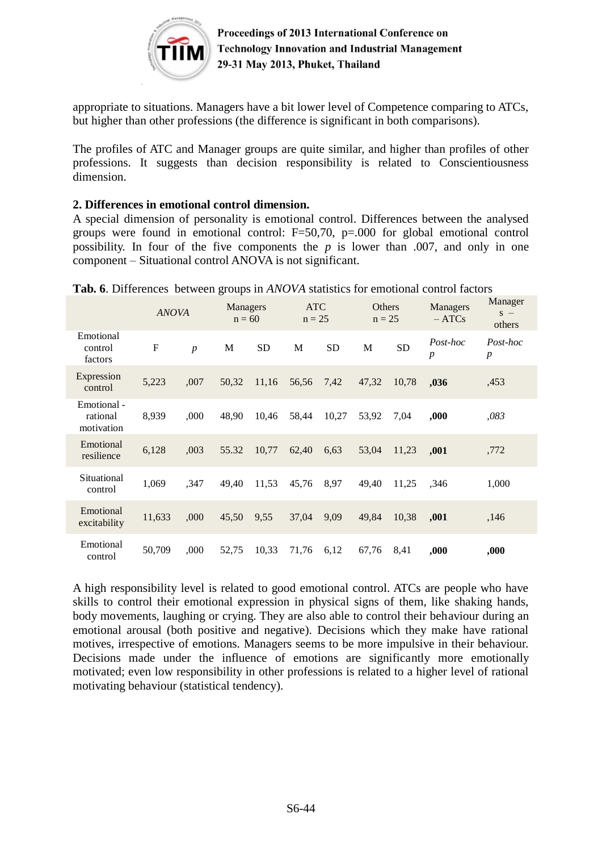

appropriate to situations. Managers have a bit lower level of Competence comparing to ATCs, but higher than other professions (the difference is significant in both comparisons).

The profiles of ATC and Manager groups are quite similar, and higher than profiles of other professions. It suggests than decision responsibility is related to Conscientiousness dimension.

#### **2. Differences in emotional control dimension.**

A special dimension of personality is emotional control. Differences between the analysed groups were found in emotional control: F=50,70, p=.000 for global emotional control possibility. In four of the five components the *p* is lower than .007, and only in one component – Situational control ANOVA is not significant.

|                                       | <b>ANOVA</b> |                  | Managers<br>$n = 60$ |           | <b>ATC</b><br>$n = 25$ |           | <b>Others</b><br>$n = 25$ |           | Managers<br>$- ATCs$         | Manager<br>$S -$<br>others   |  |
|---------------------------------------|--------------|------------------|----------------------|-----------|------------------------|-----------|---------------------------|-----------|------------------------------|------------------------------|--|
| Emotional<br>control<br>factors       | $\mathbf{F}$ | $\boldsymbol{p}$ | M                    | <b>SD</b> | M                      | <b>SD</b> | M                         | <b>SD</b> | Post-hoc<br>$\boldsymbol{p}$ | Post-hoc<br>$\boldsymbol{p}$ |  |
| Expression<br>control                 | 5,223        | ,007             | 50,32                | 11,16     | 56,56                  | 7,42      | 47,32                     | 10,78     | ,036                         | ,453                         |  |
| Emotional -<br>rational<br>motivation | 8,939        | ,000             | 48.90                | 10,46     | 58,44                  | 10,27     | 53,92                     | 7,04      | ,000                         | ,083                         |  |
| Emotional<br>resilience               | 6,128        | ,003             | 55.32                | 10,77     | 62,40                  | 6.63      | 53,04                     | 11,23     | ,001                         | ,772                         |  |
| Situational<br>control                | 1,069        | .347             | 49,40                | 11,53     | 45,76                  | 8,97      | 49,40                     | 11,25     | ,346                         | 1,000                        |  |
| Emotional<br>excitability             | 11,633       | ,000             | 45,50                | 9,55      | 37,04                  | 9,09      | 49,84                     | 10,38     | ,001                         | ,146                         |  |
| Emotional<br>control                  | 50,709       | ,000             | 52,75                | 10,33     | 71,76                  | 6,12      | 67,76                     | 8,41      | ,000                         | ,000                         |  |

**Tab. 6**. Differences between groups in *ANOVA* statistics for emotional control factors

A high responsibility level is related to good emotional control. ATCs are people who have skills to control their emotional expression in physical signs of them, like shaking hands, body movements, laughing or crying. They are also able to control their behaviour during an emotional arousal (both positive and negative). Decisions which they make have rational motives, irrespective of emotions. Managers seems to be more impulsive in their behaviour. Decisions made under the influence of emotions are significantly more emotionally motivated; even low responsibility in other professions is related to a higher level of rational motivating behaviour (statistical tendency).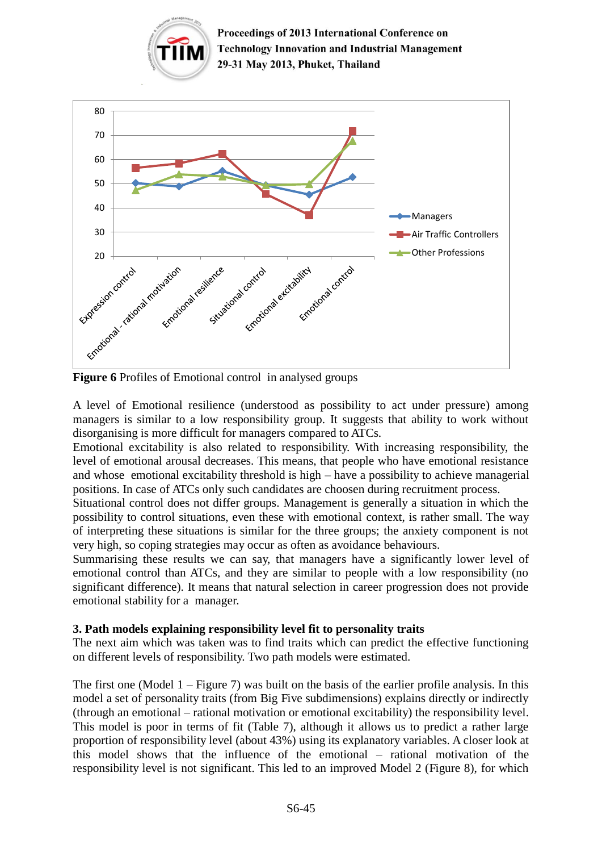



**Figure 6** Profiles of Emotional control in analysed groups

A level of Emotional resilience (understood as possibility to act under pressure) among managers is similar to a low responsibility group. It suggests that ability to work without disorganising is more difficult for managers compared to ATCs.

Emotional excitability is also related to responsibility. With increasing responsibility, the level of emotional arousal decreases. This means, that people who have emotional resistance and whose emotional excitability threshold is high – have a possibility to achieve managerial positions. In case of ATCs only such candidates are choosen during recruitment process.

Situational control does not differ groups. Management is generally a situation in which the possibility to control situations, even these with emotional context, is rather small. The way of interpreting these situations is similar for the three groups; the anxiety component is not very high, so coping strategies may occur as often as avoidance behaviours.

Summarising these results we can say, that managers have a significantly lower level of emotional control than ATCs, and they are similar to people with a low responsibility (no significant difference). It means that natural selection in career progression does not provide emotional stability for a manager.

### **3. Path models explaining responsibility level fit to personality traits**

The next aim which was taken was to find traits which can predict the effective functioning on different levels of responsibility. Two path models were estimated.

The first one (Model  $1 -$  Figure 7) was built on the basis of the earlier profile analysis. In this model a set of personality traits (from Big Five subdimensions) explains directly or indirectly (through an emotional – rational motivation or emotional excitability) the responsibility level. This model is poor in terms of fit (Table 7), although it allows us to predict a rather large proportion of responsibility level (about 43%) using its explanatory variables. A closer look at this model shows that the influence of the emotional – rational motivation of the responsibility level is not significant. This led to an improved Model 2 (Figure 8), for which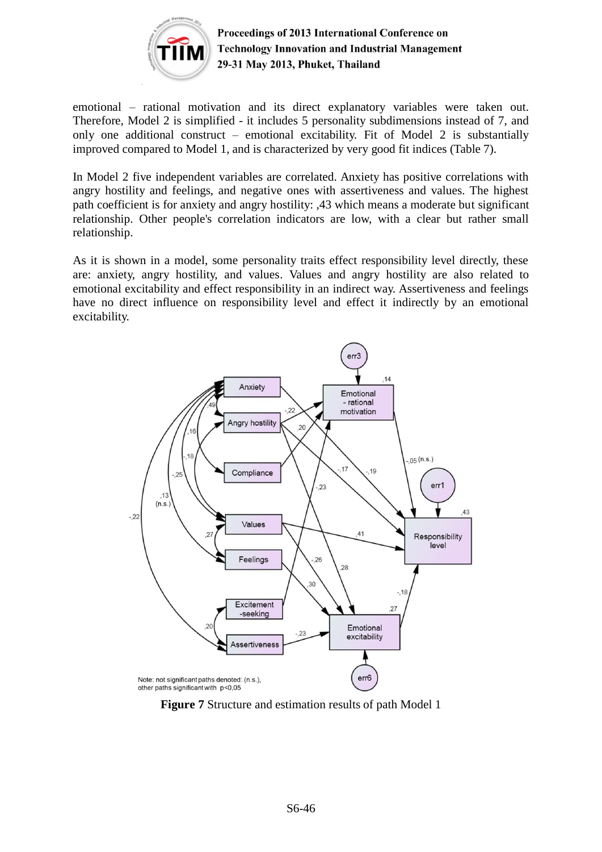

emotional – rational motivation and its direct explanatory variables were taken out. Therefore, Model 2 is simplified - it includes 5 personality subdimensions instead of 7, and only one additional construct – emotional excitability. Fit of Model 2 is substantially improved compared to Model 1, and is characterized by very good fit indices (Table 7).

In Model 2 five independent variables are correlated. Anxiety has positive correlations with angry hostility and feelings, and negative ones with assertiveness and values. The highest path coefficient is for anxiety and angry hostility: ,43 which means a moderate but significant relationship. Other people's correlation indicators are low, with a clear but rather small relationship.

As it is shown in a model, some personality traits effect responsibility level directly, these are: anxiety, angry hostility, and values. Values and angry hostility are also related to emotional excitability and effect responsibility in an indirect way. Assertiveness and feelings have no direct influence on responsibility level and effect it indirectly by an emotional excitability.



**Figure 7** Structure and estimation results of path Model 1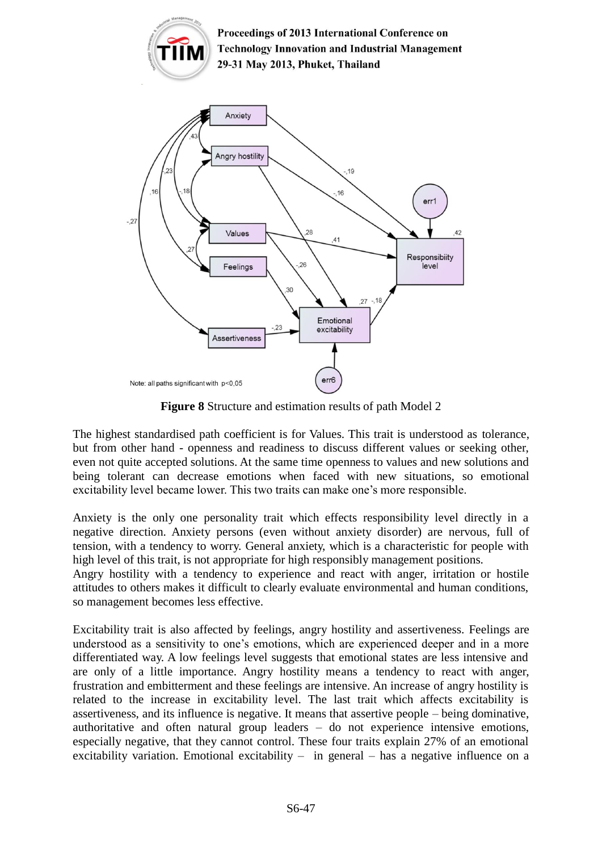

**Figure 8** Structure and estimation results of path Model 2

The highest standardised path coefficient is for Values. This trait is understood as tolerance, but from other hand - openness and readiness to discuss different values or seeking other, even not quite accepted solutions. At the same time openness to values and new solutions and being tolerant can decrease emotions when faced with new situations, so emotional excitability level became lower. This two traits can make one's more responsible.

Anxiety is the only one personality trait which effects responsibility level directly in a negative direction. Anxiety persons (even without anxiety disorder) are nervous, full of tension, with a tendency to worry. General anxiety, which is a characteristic for people with high level of this trait, is not appropriate for high responsibly management positions.

Angry hostility with a tendency to experience and react with anger, irritation or hostile attitudes to others makes it difficult to clearly evaluate environmental and human conditions, so management becomes less effective.

Excitability trait is also affected by feelings, angry hostility and assertiveness. Feelings are understood as a sensitivity to one's emotions, which are experienced deeper and in a more differentiated way. A low feelings level suggests that emotional states are less intensive and are only of a little importance. Angry hostility means a tendency to react with anger, frustration and embitterment and these feelings are intensive. An increase of angry hostility is related to the increase in excitability level. The last trait which affects excitability is assertiveness, and its influence is negative. It means that assertive people – being dominative, authoritative and often natural group leaders – do not experience intensive emotions, especially negative, that they cannot control. These four traits explain 27% of an emotional excitability variation. Emotional excitability  $-$  in general  $-$  has a negative influence on a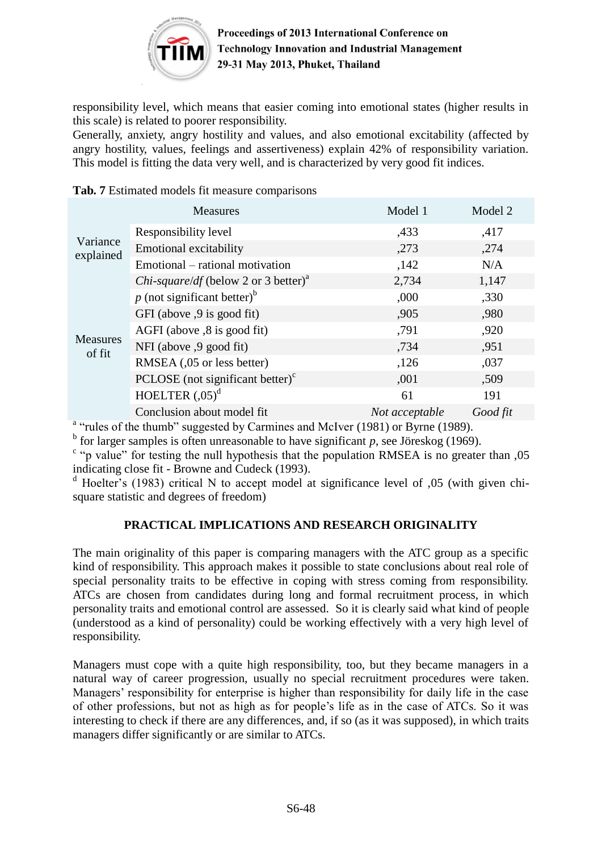

responsibility level, which means that easier coming into emotional states (higher results in this scale) is related to poorer responsibility.

Generally, anxiety, angry hostility and values, and also emotional excitability (affected by angry hostility, values, feelings and assertiveness) explain 42% of responsibility variation. This model is fitting the data very well, and is characterized by very good fit indices.

|                           | <b>Measures</b>                                         | Model 1        | Model 2  |
|---------------------------|---------------------------------------------------------|----------------|----------|
| Variance<br>explained     | Responsibility level                                    | ,433           | ,417     |
|                           | <b>Emotional excitability</b>                           | ,273           | ,274     |
|                           | Emotional – rational motivation                         | ,142           | N/A      |
|                           | <i>Chi-square/df</i> (below 2 or 3 better) <sup>a</sup> | 2,734          | 1,147    |
|                           | $p$ (not significant better) <sup>b</sup>               | ,000           | ,330     |
|                           | GFI (above ,9 is good fit)                              | ,905           | ,980     |
|                           | AGFI (above $, 8$ is good fit)                          | ,791           | ,920     |
| <b>Measures</b><br>of fit | NFI (above ,9 good fit)                                 | ,734           | ,951     |
|                           | RMSEA (,05 or less better)                              | ,126           | ,037     |
|                           | PCLOSE (not significant better) $\text{c}$              | ,001           | ,509     |
|                           | HOELTER $(0.05)^d$                                      | 61             | 191      |
|                           | Conclusion about model fit                              | Not acceptable | Good fit |

|  |  | Tab. 7 Estimated models fit measure comparisons |
|--|--|-------------------------------------------------|
|--|--|-------------------------------------------------|

<sup>a</sup> "rules of the thumb" suggested by Carmines and McIver (1981) or Byrne (1989).

 $<sup>b</sup>$  for larger samples is often unreasonable to have significant *p*, see Jöreskog (1969).</sup>

<sup>c</sup> "p value" for testing the null hypothesis that the population RMSEA is no greater than ,05 indicating close fit - Browne and Cudeck (1993).

<sup>d</sup> Hoelter's (1983) critical N to accept model at significance level of ,05 (with given chisquare statistic and degrees of freedom)

### **PRACTICAL IMPLICATIONS AND RESEARCH ORIGINALITY**

The main originality of this paper is comparing managers with the ATC group as a specific kind of responsibility. This approach makes it possible to state conclusions about real role of special personality traits to be effective in coping with stress coming from responsibility. ATCs are chosen from candidates during long and formal recruitment process, in which personality traits and emotional control are assessed. So it is clearly said what kind of people (understood as a kind of personality) could be working effectively with a very high level of responsibility.

Managers must cope with a quite high responsibility, too, but they became managers in a natural way of career progression, usually no special recruitment procedures were taken. Managers' responsibility for enterprise is higher than responsibility for daily life in the case of other professions, but not as high as for people's life as in the case of ATCs. So it was interesting to check if there are any differences, and, if so (as it was supposed), in which traits managers differ significantly or are similar to ATCs.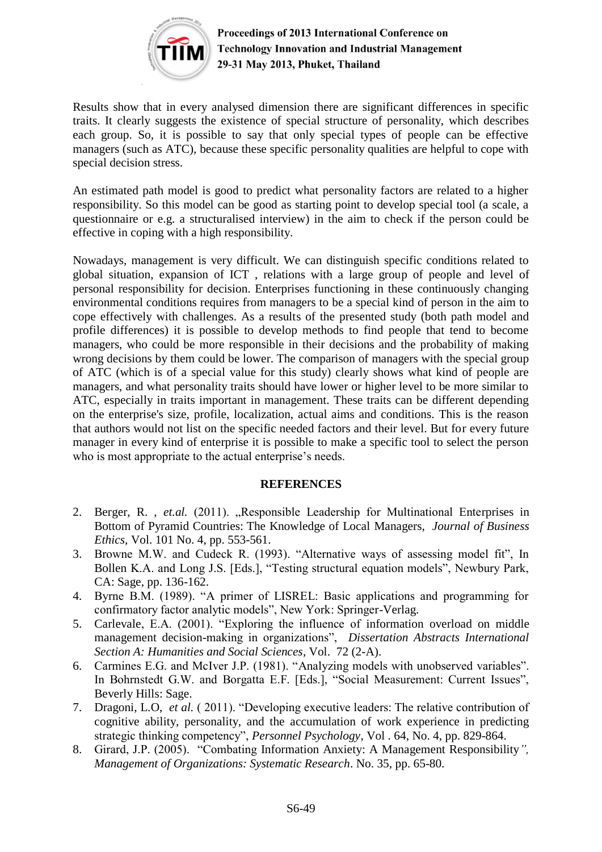

Results show that in every analysed dimension there are significant differences in specific traits. It clearly suggests the existence of special structure of personality, which describes each group. So, it is possible to say that only special types of people can be effective managers (such as ATC), because these specific personality qualities are helpful to cope with special decision stress.

An estimated path model is good to predict what personality factors are related to a higher responsibility. So this model can be good as starting point to develop special tool (a scale, a questionnaire or e.g. a structuralised interview) in the aim to check if the person could be effective in coping with a high responsibility.

Nowadays, management is very difficult. We can distinguish specific conditions related to global situation, expansion of ICT , relations with a large group of people and level of personal responsibility for decision. Enterprises functioning in these continuously changing environmental conditions requires from managers to be a special kind of person in the aim to cope effectively with challenges. As a results of the presented study (both path model and profile differences) it is possible to develop methods to find people that tend to become managers, who could be more responsible in their decisions and the probability of making wrong decisions by them could be lower. The comparison of managers with the special group of ATC (which is of a special value for this study) clearly shows what kind of people are managers, and what personality traits should have lower or higher level to be more similar to ATC, especially in traits important in management. These traits can be different depending on the enterprise's size, profile, localization, actual aims and conditions. This is the reason that authors would not list on the specific needed factors and their level. But for every future manager in every kind of enterprise it is possible to make a specific tool to select the person who is most appropriate to the actual enterprise's needs.

#### **REFERENCES**

- 2. Berger, R., *et.al.* (2011). "Responsible Leadership for Multinational Enterprises in Bottom of Pyramid Countries: The Knowledge of Local Managers, *Journal of Business Ethics,* Vol. 101 No. 4, pp. 553-561.
- 3. Browne M.W. and Cudeck R. (1993). "Alternative ways of assessing model fit", In Bollen K.A. and Long J.S. [Eds.], "Testing structural equation models", Newbury Park, CA: Sage, pp. 136-162.
- 4. Byrne B.M. (1989). "A primer of LISREL: Basic applications and programming for confirmatory factor analytic models", New York: Springer-Verlag.
- 5. Carlevale, E.A. (2001). "Exploring the influence of information overload on middle management decision-making in organizations", *Dissertation Abstracts International Section A: Humanities and Social Sciences*, Vol. 72 (2-A).
- 6. Carmines E.G. and McIver J.P. (1981). "Analyzing models with unobserved variables". In Bohrnstedt G.W. and Borgatta E.F. [Eds.], "Social Measurement: Current Issues", Beverly Hills: Sage.
- 7. Dragoni, L.O, *et al.* ( 2011). "Developing executive leaders: The relative contribution of cognitive ability, personality, and the accumulation of work experience in predicting strategic thinking competency", *Personnel Psychology*, Vol . 64, No. 4, pp. 829-864.
- 8. Girard, J.P. (2005). "Combating Information Anxiety: A Management Responsibility*", Management of Organizations: Systematic Research*. No. 35, pp. 65-80.